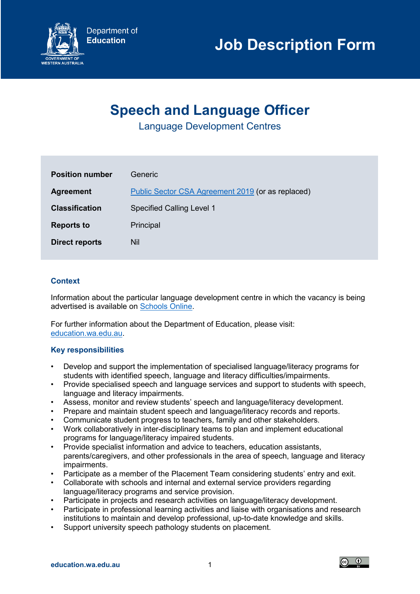

# **Job Description Form**

## **Speech and Language Officer**

Language Development Centres

| <b>Position number</b> | Generic                                           |
|------------------------|---------------------------------------------------|
| <b>Agreement</b>       | Public Sector CSA Agreement 2019 (or as replaced) |
| <b>Classification</b>  | <b>Specified Calling Level 1</b>                  |
| <b>Reports to</b>      | Principal                                         |
| Direct reports         | Nil                                               |

## **Context**

Information about the particular language development centre in which the vacancy is being advertised is available on [Schools Online.](https://www.det.wa.edu.au/schoolsonline/home.do)

For further information about the Department of Education, please visit: [education.wa.edu.au.](https://www.education.wa.edu.au/)

## **Key responsibilities**

- Develop and support the implementation of specialised language/literacy programs for students with identified speech, language and literacy difficulties/impairments.
- Provide specialised speech and language services and support to students with speech, language and literacy impairments.
- Assess, monitor and review students' speech and language/literacy development.
- Prepare and maintain student speech and language/literacy records and reports.
- Communicate student progress to teachers, family and other stakeholders.
- Work collaboratively in inter-disciplinary teams to plan and implement educational programs for language/literacy impaired students.
- Provide specialist information and advice to teachers, education assistants, parents/caregivers, and other professionals in the area of speech, language and literacy impairments.
- Participate as a member of the Placement Team considering students' entry and exit.
- Collaborate with schools and internal and external service providers regarding language/literacy programs and service provision.
- Participate in projects and research activities on language/literacy development.
- Participate in professional learning activities and liaise with organisations and research institutions to maintain and develop professional, up-to-date knowledge and skills.
- Support university speech pathology students on placement.